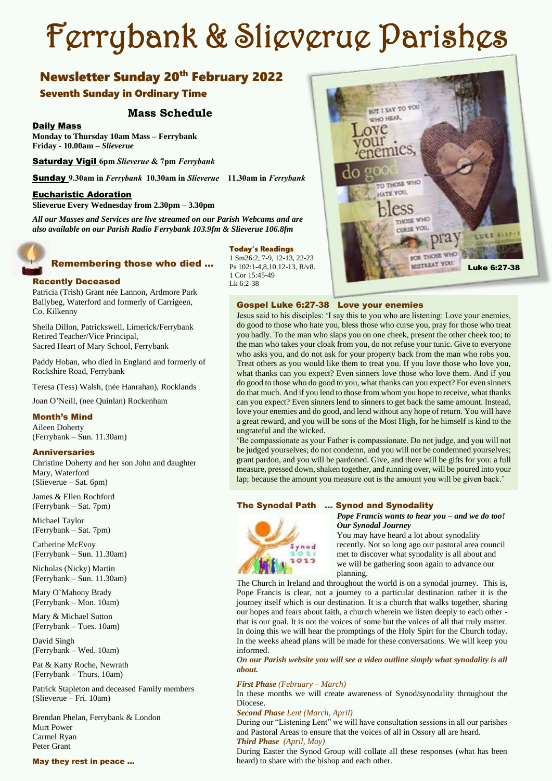# Ferrybank & Slieverue Parishes

# Newsletter Sunday 20th February 2022 Seventh Sunday in Ordinary Time

### **Mass Schedule**

Daily Mass **Monday to Thursday 10am Mass – Ferrybank Friday - 10.00am –** *Slieverue*

Saturday Vigil **6pm** *Slieverue* **& 7pm** *Ferrybank*

Sunday **9.30am in** *Ferrybank* **10.30am in** *Slieverue* **11.30am in** *Ferrybank*

#### Eucharistic Adoration **Slieverue Every Wednesday from 2.30pm – 3.30pm**

*All our Masses and Services are live streamed on our Parish Webcams and are also available on our Parish Radio Ferrybank 103.9fm & Slieverue 106.8fm*

# Remembering those who died …

#### Recently Deceased

Patricia (Trish) Grant née Lannon, Ardmore Park Ballybeg, Waterford and formerly of Carrigeen, Co. Kilkenny

Sheila Dillon, Patrickswell, Limerick/Ferrybank Retired Teacher/Vice Principal, Sacred Heart of Mary School, Ferrybank

Paddy Hoban, who died in England and formerly of Rockshire Road, Ferrybank

Teresa (Tess) Walsh, (née Hanrahan), Rocklands

Joan O'Neill, (nee Quinlan) Rockenham

#### Month's Mind

Aileen Doherty (Ferrybank – Sun. 11.30am)

#### **Anniversaries**

Christine Doherty and her son John and daughter Mary, Waterford (Slieverue – Sat. 6pm)

James & Ellen Rochford (Ferrybank – Sat. 7pm)

Michael Taylor (Ferrybank – Sat. 7pm)

Catherine McEvoy (Ferrybank – Sun. 11.30am)

Nicholas (Nicky) Martin (Ferrybank – Sun. 11.30am)

Mary O'Mahony Brady (Ferrybank – Mon. 10am)

Mary & Michael Sutton (Ferrybank – Tues. 10am)

David Singh (Ferrybank – Wed. 10am)

Pat & Katty Roche, Newrath (Ferrybank – Thurs. 10am)

Patrick Stapleton and deceased Family members (Slieverue – Fri. 10am)

Brendan Phelan, Ferrybank & London Murt Power Carmel Ryan Peter Grant

#### May they rest in peace …

Today's Readings

1 Sm26:2, 7-9, 12-13, 22-23 Ps 102:1-4,8,10,12-13, R/v8. 1 Cor 15:45-49 Lk 6:2-38

#### Gospel Luke 6:27-38 Love your enemies

Jesus said to his disciples: 'I say this to you who are listening: Love your enemies, do good to those who hate you, bless those who curse you, pray for those who treat you badly. To the man who slaps you on one cheek, present the other cheek too; to the man who takes your cloak from you, do not refuse your tunic. Give to everyone who asks you, and do not ask for your property back from the man who robs you. Treat others as you would like them to treat you. If you love those who love you, what thanks can you expect? Even sinners love those who love them. And if you do good to those who do good to you, what thanks can you expect? For even sinners do that much. And if you lend to those from whom you hope to receive, what thanks can you expect? Even sinners lend to sinners to get back the same amount. Instead, love your enemies and do good, and lend without any hope of return. You will have a great reward, and you will be sons of the Most High, for he himself is kind to the ungrateful and the wicked.

'Be compassionate as your Father is compassionate. Do not judge, and you will not be judged yourselves; do not condemn, and you will not be condemned yourselves; grant pardon, and you will be pardoned. Give, and there will be gifts for you: a full measure, pressed down, shaken together, and running over, will be poured into your lap; because the amount you measure out is the amount you will be given back.'

#### The Synodal Path … Synod and Synodality



*Pope Francis wants to hear you – and we do too! Our Synodal Journey*

You may have heard a lot about synodality recently. Not so long ago our pastoral area council met to discover what synodality is all about and we will be gathering soon again to advance our planning.

The Church in Ireland and throughout the world is on a synodal journey. This is, Pope Francis is clear, not a journey to a particular destination rather it is the journey itself which is our destination. It is a church that walks together, sharing our hopes and fears about faith, a church wherein we listen deeply to each other that is our goal. It is not the voices of some but the voices of all that truly matter. In doing this we will hear the promptings of the Holy Spirt for the Church today. In the weeks ahead plans will be made for these conversations. We will keep you informed.

*On our Parish website you will see a video outline simply what synodality is all about.*

#### *First Phase (February – March)*

In these months we will create awareness of Synod/synodality throughout the Diocese.

*Second Phase Lent (March, April)*

During our "Listening Lent" we will have consultation sessions in all our parishes and Pastoral Areas to ensure that the voices of all in Ossory all are heard. *Third Phase (April, May)*

During Easter the Synod Group will collate all these responses (what has been heard) to share with the bishop and each other.